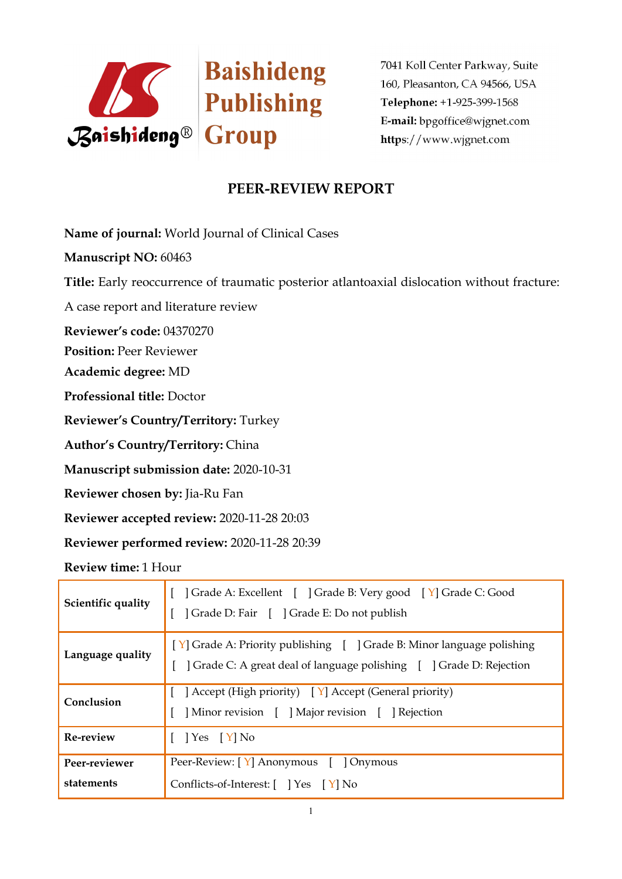

7041 Koll Center Parkway, Suite 160, Pleasanton, CA 94566, USA Telephone: +1-925-399-1568 E-mail: bpgoffice@wignet.com https://www.wjgnet.com

## **PEER-REVIEW REPORT**

**Name of journal:** World Journal of Clinical Cases

**Manuscript NO:** 60463

**Title:** Early reoccurrence of traumatic posterior atlantoaxial dislocation without fracture:

A case report and literature review

**Reviewer's code:** 04370270

**Position:** Peer Reviewer

**Academic degree:** MD

**Professional title:** Doctor

**Reviewer's Country/Territory:** Turkey

**Author's Country/Territory:** China

**Manuscript submission date:** 2020-10-31

**Reviewer chosen by:** Jia-Ru Fan

**Reviewer accepted review:** 2020-11-28 20:03

**Reviewer performed review:** 2020-11-28 20:39

**Review time:** 1 Hour

| Scientific quality          | Crade A: Excellent [ ] Grade B: Very good [ Y] Grade C: Good<br>] Grade D: Fair [ ] Grade E: Do not publish                                  |  |
|-----------------------------|----------------------------------------------------------------------------------------------------------------------------------------------|--|
| Language quality            | [Y] Grade A: Priority publishing [ ] Grade B: Minor language polishing<br>Crade C: A great deal of language polishing [ ] Grade D: Rejection |  |
| Conclusion                  | $\left[ \right]$ Accept (High priority) $\left[ \right]$ Accept (General priority)<br>Minor revision [ ] Major revision [ ] Rejection        |  |
| Re-review                   | $\left  \right.$ Yes $\left[ \right.$ Y $\right $ No                                                                                         |  |
| Peer-reviewer<br>statements | Peer-Review: [Y] Anonymous [ ] Onymous<br>Conflicts-of-Interest: [ ] Yes [Y] No                                                              |  |